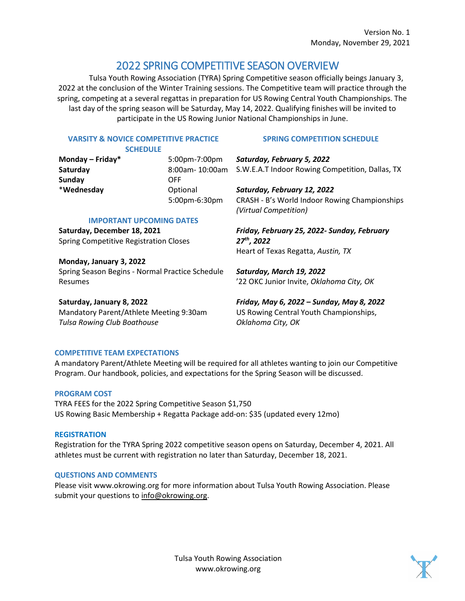# 2022 SPRING COMPETITIVE SEASON OVERVIEW

Tulsa Youth Rowing Association (TYRA) Spring Competitive season officially beings January 3, 2022 at the conclusion of the Winter Training sessions. The Competitive team will practice through the spring, competing at a several regattas in preparation for US Rowing Central Youth Championships. The last day of the spring season will be Saturday, May 14, 2022. Qualifying finishes will be invited to participate in the US Rowing Junior National Championships in June.

## **VARSITY & NOVICE COMPETITIVE PRACTICE**

**SCHEDULE**

## **SPRING COMPETITION SCHEDULE**

**Monday – Friday\*** 5:00pm-7:00pm Saturday **8:00am- 10:00am** S.W.E.A.T Indoor Rowing Competition, Dallas, TX **Sunday** OFF \***Wednesday** Optional 5:00pm-6:30pm **IMPORTANT UPCOMING DATES Saturday, December 18, 2021** Spring Competitive Registration Closes **Monday, January 3, 2022**  Spring Season Begins - Normal Practice Schedule Resumes **Saturday, January 8, 2022**  *Saturday, February 5, 2022 Saturday, February 12, 2022*  CRASH - B's World Indoor Rowing Championships *(Virtual Competition) Friday, February 25, 2022- Sunday, February 27th, 2022* Heart of Texas Regatta, *Austin, TX Saturday, March 19, 2022*  '22 OKC Junior Invite, *Oklahoma City, OK*

Mandatory Parent/Athlete Meeting 9:30am *Tulsa Rowing Club Boathouse* 

*Friday, May 6, 2022 – Sunday, May 8, 2022*  US Rowing Central Youth Championships, *Oklahoma City, OK* 

# **COMPETITIVE TEAM EXPECTATIONS**

A mandatory Parent/Athlete Meeting will be required for all athletes wanting to join our Competitive Program. Our handbook, policies, and expectations for the Spring Season will be discussed.

## **PROGRAM COST**

TYRA FEES for the 2022 Spring Competitive Season \$1,750 US Rowing Basic Membership + Regatta Package add-on: \$35 (updated every 12mo)

### **REGISTRATION**

Registration for the TYRA Spring 2022 competitive season opens on Saturday, December 4, 2021. All athletes must be current with registration no later than Saturday, December 18, 2021.

## **QUESTIONS AND COMMENTS**

Please visit www.okrowing.org for more information about Tulsa Youth Rowing Association. Please submit your questions to [info@okrowing.org.](mailto:info@okrowing.org)

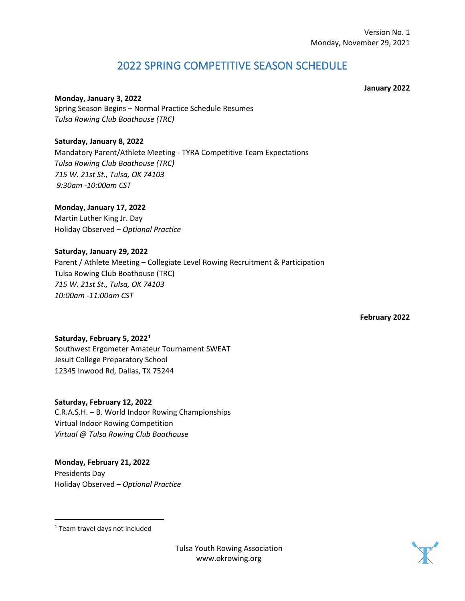# 2022 SPRING COMPETITIVE SEASON SCHEDULE

**January 2022**

**Monday, January 3, 2022** Spring Season Begins – Normal Practice Schedule Resumes *Tulsa Rowing Club Boathouse (TRC)*

**Saturday, January 8, 2022** Mandatory Parent/Athlete Meeting - TYRA Competitive Team Expectations *Tulsa Rowing Club Boathouse (TRC) 715 W. 21st St., Tulsa, OK 74103 9:30am -10:00am CST*

**Monday, January 17, 2022** Martin Luther King Jr. Day Holiday Observed – *Optional Practice*

**Saturday, January 29, 2022**  Parent / Athlete Meeting – Collegiate Level Rowing Recruitment & Participation Tulsa Rowing Club Boathouse (TRC) *715 W. 21st St., Tulsa, OK 74103 10:00am -11:00am CST*

**February 2022**

**Saturday, February 5, 2022[1](#page-1-0)** Southwest Ergometer Amateur Tournament SWEAT Jesuit College Preparatory School 12345 Inwood Rd, Dallas, TX 75244

**Saturday, February 12, 2022**  C.R.A.S.H. – B. World Indoor Rowing Championships Virtual Indoor Rowing Competition *Virtual @ Tulsa Rowing Club Boathouse*

**Monday, February 21, 2022**  Presidents Day Holiday Observed – *Optional Practice*



Tulsa Youth Rowing Association www.okrowing.org

<span id="page-1-0"></span><sup>1</sup> Team travel days not included